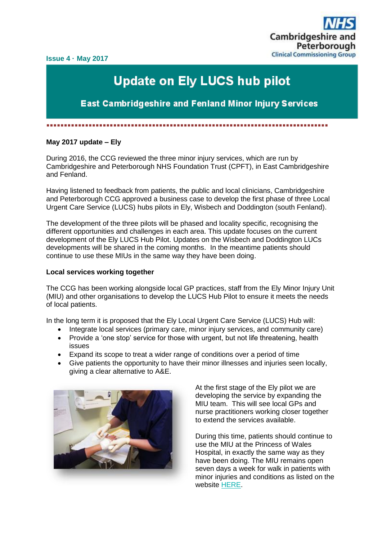**Issue 4 · May 2017**



## **Update on Ely LUCS hub pilot**

**East Cambridgeshire and Fenland Minor Injury Services** 

▪▪▪▪▪▪▪▪▪▪▪▪▪▪▪▪▪▪▪▪▪▪▪▪▪▪▪▪▪▪▪▪▪▪▪▪▪▪▪▪▪▪▪▪▪▪▪▪▪▪▪▪▪▪▪▪▪▪▪▪▪▪▪▪▪▪▪▪▪▪▪▪▪▪▪▪▪▪▪▪

## **May 2017 update – Ely**

During 2016, the CCG reviewed the three minor injury services, which are run by Cambridgeshire and Peterborough NHS Foundation Trust (CPFT), in East Cambridgeshire and Fenland.

Having listened to feedback from patients, the public and local clinicians, Cambridgeshire and Peterborough CCG approved a business case to develop the first phase of three Local Urgent Care Service (LUCS) hubs pilots in Ely, Wisbech and Doddington (south Fenland).

The development of the three pilots will be phased and locality specific, recognising the different opportunities and challenges in each area. This update focuses on the current development of the Ely LUCS Hub Pilot. Updates on the Wisbech and Doddington LUCs developments will be shared in the coming months. In the meantime patients should continue to use these MIUs in the same way they have been doing.

## **Local services working together**

The CCG has been working alongside local GP practices, staff from the Ely Minor Injury Unit (MIU) and other organisations to develop the LUCS Hub Pilot to ensure it meets the needs of local patients.

In the long term it is proposed that the Ely Local Urgent Care Service (LUCS) Hub will:

- Integrate local services (primary care, minor injury services, and community care)
- Provide a 'one stop' service for those with urgent, but not life threatening, health issues
- Expand its scope to treat a wider range of conditions over a period of time
- Give patients the opportunity to have their minor illnesses and injuries seen locally, giving a clear alternative to A&E.



At the first stage of the Ely pilot we are developing the service by expanding the MIU team. This will see local GPs and nurse practitioners working closer together to extend the services available.

During this time, patients should continue to use the MIU at the Princess of Wales Hospital, in exactly the same way as they have been doing. The MIU remains open seven days a week for walk in patients with minor injuries and conditions as listed on the website [HERE.](http://www.cpft.nhs.uk/services/minor-injury-units.htm)